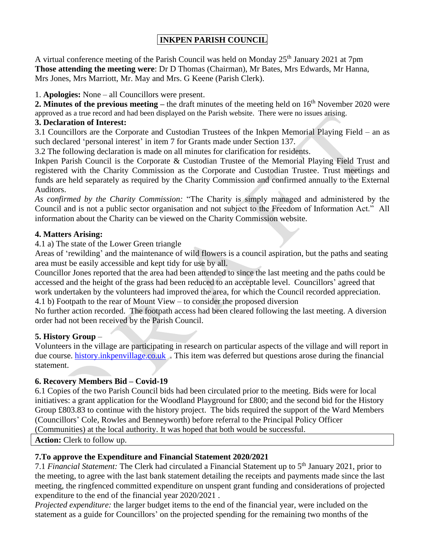# **INKPEN PARISH COUNCIL**

A virtual conference meeting of the Parish Council was held on Monday 25<sup>th</sup> January 2021 at 7pm **Those attending the meeting were**: Dr D Thomas (Chairman), Mr Bates, Mrs Edwards, Mr Hanna, Mrs Jones, Mrs Marriott, Mr. May and Mrs. G Keene (Parish Clerk).

1. **Apologies:** None – all Councillors were present.

**2. Minutes of the previous meeting – the draft minutes of the meeting held on 16<sup>th</sup> November 2020 were** approved as a true record and had been displayed on the Parish website. There were no issues arising.

#### **3. Declaration of Interest:**

3.1 Councillors are the Corporate and Custodian Trustees of the Inkpen Memorial Playing Field – an as such declared 'personal interest' in item 7 for Grants made under Section 137.

3.2 The following declaration is made on all minutes for clarification for residents.

Inkpen Parish Council is the Corporate & Custodian Trustee of the Memorial Playing Field Trust and registered with the Charity Commission as the Corporate and Custodian Trustee. Trust meetings and funds are held separately as required by the Charity Commission and confirmed annually to the External Auditors.

*As confirmed by the Charity Commission:* "The Charity is simply managed and administered by the Council and is not a public sector organisation and not subject to the Freedom of Information Act." All information about the Charity can be viewed on the Charity Commission website.

## **4. Matters Arising:**

4.1 a) The state of the Lower Green triangle

Areas of 'rewilding' and the maintenance of wild flowers is a council aspiration, but the paths and seating area must be easily accessible and kept tidy for use by all.

Councillor Jones reported that the area had been attended to since the last meeting and the paths could be accessed and the height of the grass had been reduced to an acceptable level. Councillors' agreed that work undertaken by the volunteers had improved the area, for which the Council recorded appreciation.

4.1 b) Footpath to the rear of Mount View – to consider the proposed diversion

No further action recorded. The footpath access had been cleared following the last meeting. A diversion order had not been received by the Parish Council.

## **5. History Group** –

Volunteers in the village are participating in research on particular aspects of the village and will report in due course. [history.inkpenvillage.co.uk](http://www.history.inkpenvillage.co.uk/) . This item was deferred but questions arose during the financial statement.

## **6. Recovery Members Bid – Covid-19**

6.1 Copies of the two Parish Council bids had been circulated prior to the meeting. Bids were for local initiatives: a grant application for the Woodland Playground for £800; and the second bid for the History Group £803.83 to continue with the history project. The bids required the support of the Ward Members (Councillors' Cole, Rowles and Benneyworth) before referral to the Principal Policy Officer (Communities) at the local authority. It was hoped that both would be successful.

**Action:** Clerk to follow up.

## **7.To approve the Expenditure and Financial Statement 2020/2021**

7.1 *Financial Statement:* The Clerk had circulated a Financial Statement up to 5 th January 2021, prior to the meeting, to agree with the last bank statement detailing the receipts and payments made since the last meeting, the ringfenced committed expenditure on unspent grant funding and considerations of projected expenditure to the end of the financial year 2020/2021 .

*Projected expenditure:* the larger budget items to the end of the financial year, were included on the statement as a guide for Councillors' on the projected spending for the remaining two months of the